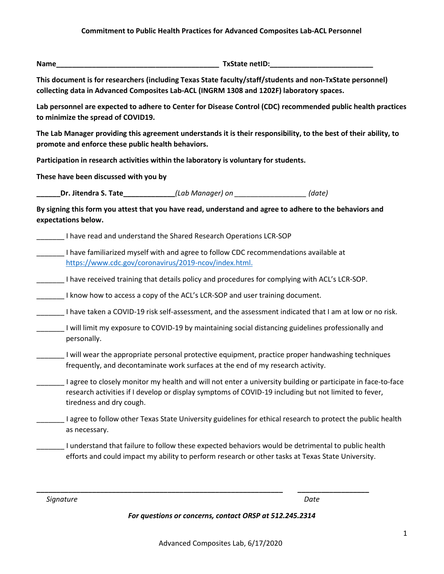**Name\_\_\_\_\_\_\_\_\_\_\_\_\_\_\_\_\_\_\_\_\_\_\_\_\_\_\_\_\_\_\_\_\_\_\_\_\_\_\_\_\_ TxState netID:\_\_\_\_\_\_\_\_\_\_\_\_\_\_\_\_\_\_\_\_\_\_\_\_\_\_** 

**This document is for researchers (including Texas State faculty/staff/students and non-TxState personnel) collecting data in Advanced Composites Lab-ACL (INGRM 1308 and 1202F) laboratory spaces.**

**Lab personnel are expected to adhere to Center for Disease Control (CDC) recommended public health practices to minimize the spread of COVID19.** 

**The Lab Manager providing this agreement understands it is their responsibility, to the best of their ability, to promote and enforce these public health behaviors.** 

**Participation in research activities within the laboratory is voluntary for students.** 

**These have been discussed with you by** 

**\_\_\_\_\_\_Dr. Jitendra S. Tate\_\_\_\_\_\_\_\_\_\_\_\_\_***(Lab Manager) on \_\_\_\_\_\_\_\_\_\_\_\_\_\_\_\_\_\_ (date)*

**By signing this form you attest that you have read, understand and agree to adhere to the behaviors and expectations below.** 

\_\_\_\_\_\_\_ I have read and understand the Shared Research Operations LCR-SOP

\_\_\_\_\_\_\_ I have familiarized myself with and agree to follow CDC recommendations available at [https://www.cdc.gov/coronavirus/2019-ncov/index.html.](https://www.cdc.gov/coronavirus/2019-ncov/index.html)

I have received training that details policy and procedures for complying with ACL's LCR-SOP.

I know how to access a copy of the ACL's LCR-SOP and user training document.

\_\_\_\_\_\_\_ I have taken a COVID-19 risk self-assessment, and the assessment indicated that I am at low or no risk.

| I will limit my exposure to COVID-19 by maintaining social distancing guidelines professionally and |
|-----------------------------------------------------------------------------------------------------|
| personally.                                                                                         |

- \_\_\_\_\_\_\_ I will wear the appropriate personal protective equipment, practice proper handwashing techniques frequently, and decontaminate work surfaces at the end of my research activity.
- \_\_\_\_\_\_\_ I agree to closely monitor my health and will not enter a university building or participate in face-to-face research activities if I develop or display symptoms of COVID-19 including but not limited to fever, tiredness and dry cough.
- \_\_\_\_\_\_\_ I agree to follow other Texas State University guidelines for ethical research to protect the public health as necessary.
	- \_\_\_\_\_\_\_ I understand that failure to follow these expected behaviors would be detrimental to public health efforts and could impact my ability to perform research or other tasks at Texas State University.

**\_\_\_\_\_\_\_\_\_\_\_\_\_\_\_\_\_\_\_\_\_\_\_\_\_\_\_\_\_\_\_\_\_\_\_\_\_\_\_\_\_\_\_\_\_\_\_\_\_\_\_\_\_\_\_\_\_\_\_\_\_\_ \_\_\_\_\_\_\_\_\_\_\_\_\_\_\_\_\_\_**

*Signature Date*

*For questions or concerns, contact ORSP at 512.245.2314*